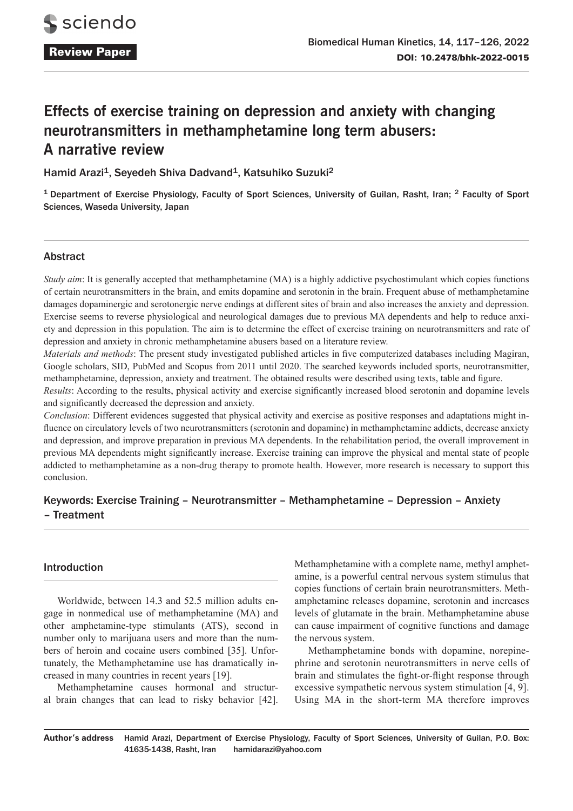# **Effects of exercise training on depression and anxiety with changing neurotransmitters in methamphetamine long term abusers: A narrative review**

Hamid Arazi<sup>1</sup>, Seyedeh Shiva Dadvand<sup>1</sup>, Katsuhiko Suzuki<sup>2</sup>

<sup>1</sup> Department of Exercise Physiology, Faculty of Sport Sciences, University of Guilan, Rasht, Iran; <sup>2</sup> Faculty of Sport Sciences, Waseda University, Japan

# Abstract

*Study aim*: It is generally accepted that methamphetamine (MA) is a highly addictive psychostimulant which copies functions of certain neurotransmitters in the brain, and emits dopamine and serotonin in the brain. Frequent abuse of methamphetamine damages dopaminergic and serotonergic nerve endings at different sites of brain and also increases the anxiety and depression. Exercise seems to reverse physiological and neurological damages due to previous MA dependents and help to reduce anxiety and depression in this population. The aim is to determine the effect of exercise training on neurotransmitters and rate of depression and anxiety in chronic methamphetamine abusers based on a literature review.

*Materials and methods*: The present study investigated published articles in five computerized databases including Magiran, Google scholars, SID, PubMed and Scopus from 2011 until 2020. The searched keywords included sports, neurotransmitter, methamphetamine, depression, anxiety and treatment. The obtained results were described using texts, table and figure.

*Results*: According to the results, physical activity and exercise significantly increased blood serotonin and dopamine levels and significantly decreased the depression and anxiety.

*Conclusion*: Different evidences suggested that physical activity and exercise as positive responses and adaptations might influence on circulatory levels of two neurotransmitters (serotonin and dopamine) in methamphetamine addicts, decrease anxiety and depression, and improve preparation in previous MA dependents. In the rehabilitation period, the overall improvement in previous MA dependents might significantly increase. Exercise training can improve the physical and mental state of people addicted to methamphetamine as a non-drug therapy to promote health. However, more research is necessary to support this conclusion.

# Keywords: Exercise Training – Neurotransmitter – Methamphetamine – Depression – Anxiety – Treatment

## Introduction

Worldwide, between 14.3 and 52.5 million adults engage in nonmedical use of methamphetamine (MA) and other amphetamine-type stimulants (ATS), second in number only to marijuana users and more than the numbers of heroin and cocaine users combined [35]. Unfortunately, the Methamphetamine use has dramatically increased in many countries in recent years [19].

Methamphetamine causes hormonal and structural brain changes that can lead to risky behavior [42]. Methamphetamine with a complete name, methyl amphetamine, is a powerful central nervous system stimulus that copies functions of certain brain neurotransmitters. Methamphetamine releases dopamine, serotonin and increases levels of glutamate in the brain. Methamphetamine abuse can cause impairment of cognitive functions and damage the nervous system.

Methamphetamine bonds with dopamine, norepinephrine and serotonin neurotransmitters in nerve cells of brain and stimulates the fight-or-flight response through excessive sympathetic nervous system stimulation [4, 9]. Using MA in the short-term MA therefore improves

**Author's address** Hamid Arazi, Department of Exercise Physiology, Faculty of Sport Sciences, University of Guilan, P.O. Box: 41635-1438, Rasht, Iran hamidarazi@yahoo.com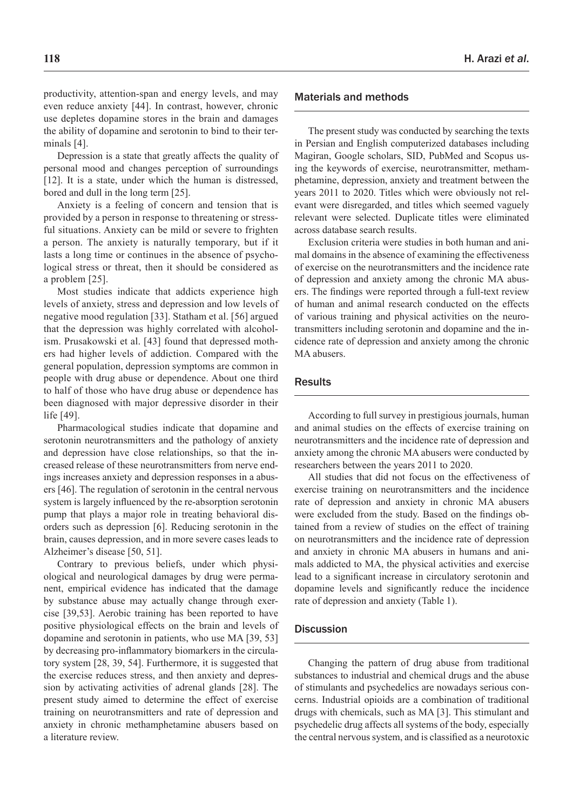productivity, attention-span and energy levels, and may even reduce anxiety [44]. In contrast, however, chronic use depletes dopamine stores in the brain and damages the ability of dopamine and serotonin to bind to their terminals [4].

Depression is a state that greatly affects the quality of personal mood and changes perception of surroundings [12]. It is a state, under which the human is distressed, bored and dull in the long term [25].

Anxiety is a feeling of concern and tension that is provided by a person in response to threatening or stressful situations. Anxiety can be mild or severe to frighten a person. The anxiety is naturally temporary, but if it lasts a long time or continues in the absence of psychological stress or threat, then it should be considered as a problem [25].

Most studies indicate that addicts experience high levels of anxiety, stress and depression and low levels of negative mood regulation [33]. Statham et al. [56] argued that the depression was highly correlated with alcoholism. Prusakowski et al. [43] found that depressed mothers had higher levels of addiction. Compared with the general population, depression symptoms are common in people with drug abuse or dependence. About one third to half of those who have drug abuse or dependence has been diagnosed with major depressive disorder in their life [49].

Pharmacological studies indicate that dopamine and serotonin neurotransmitters and the pathology of anxiety and depression have close relationships, so that the increased release of these neurotransmitters from nerve endings increases anxiety and depression responses in a abusers [46]. The regulation of serotonin in the central nervous system is largely influenced by the re-absorption serotonin pump that plays a major role in treating behavioral disorders such as depression [6]. Reducing serotonin in the brain, causes depression, and in more severe cases leads to Alzheimer's disease [50, 51].

Contrary to previous beliefs, under which physiological and neurological damages by drug were permanent, empirical evidence has indicated that the damage by substance abuse may actually change through exercise [39,53]. Aerobic training has been reported to have positive physiological effects on the brain and levels of dopamine and serotonin in patients, who use MA [39, 53] by decreasing pro-inflammatory biomarkers in the circulatory system [28, 39, 54]. Furthermore, it is suggested that the exercise reduces stress, and then anxiety and depression by activating activities of adrenal glands [28]. The present study aimed to determine the effect of exercise training on neurotransmitters and rate of depression and anxiety in chronic methamphetamine abusers based on a literature review.

#### Materials and methods

The present study was conducted by searching the texts in Persian and English computerized databases including Magiran, Google scholars, SID, PubMed and Scopus using the keywords of exercise, neurotransmitter, methamphetamine, depression, anxiety and treatment between the years 2011 to 2020. Titles which were obviously not relevant were disregarded, and titles which seemed vaguely relevant were selected. Duplicate titles were eliminated across database search results.

Exclusion criteria were studies in both human and animal domains in the absence of examining the effectiveness of exercise on the neurotransmitters and the incidence rate of depression and anxiety among the chronic MA abusers. The findings were reported through a full-text review of human and animal research conducted on the effects of various training and physical activities on the neurotransmitters including serotonin and dopamine and the incidence rate of depression and anxiety among the chronic MA abusers.

#### **Results**

According to full survey in prestigious journals, human and animal studies on the effects of exercise training on neurotransmitters and the incidence rate of depression and anxiety among the chronic MA abusers were conducted by researchers between the years 2011 to 2020.

All studies that did not focus on the effectiveness of exercise training on neurotransmitters and the incidence rate of depression and anxiety in chronic MA abusers were excluded from the study. Based on the findings obtained from a review of studies on the effect of training on neurotransmitters and the incidence rate of depression and anxiety in chronic MA abusers in humans and animals addicted to MA, the physical activities and exercise lead to a significant increase in circulatory serotonin and dopamine levels and significantly reduce the incidence rate of depression and anxiety (Table 1).

#### **Discussion**

Changing the pattern of drug abuse from traditional substances to industrial and chemical drugs and the abuse of stimulants and psychedelics are nowadays serious concerns. Industrial opioids are a combination of traditional drugs with chemicals, such as MA [3]. This stimulant and psychedelic drug affects all systems of the body, especially the central nervous system, and is classified as a neurotoxic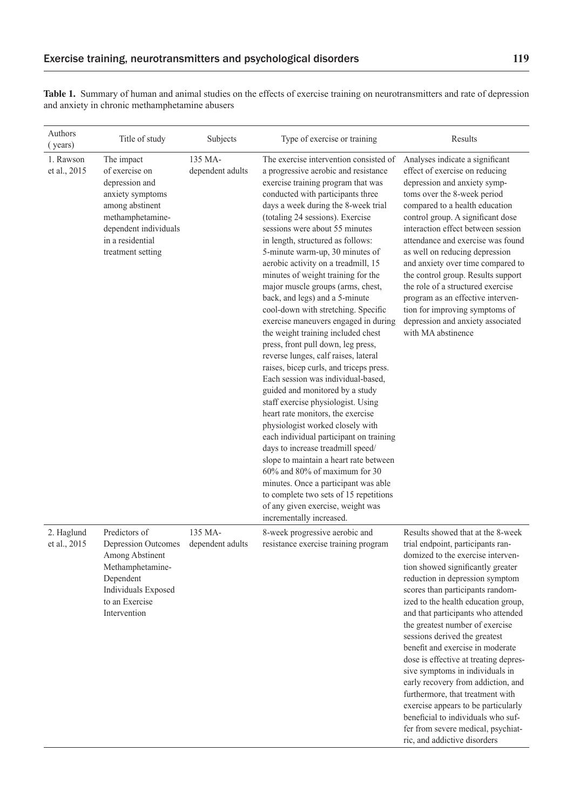**Table 1.** Summary of human and animal studies on the effects of exercise training on neurotransmitters and rate of depression and anxiety in chronic methamphetamine abusers

| Authors<br>(years)         | Title of study                                                                                                                                                              | Subjects                    | Type of exercise or training                                                                                                                                                                                                                                                                                                                                                                                                                                                                                                                                                                                                                                                                                                                                                                                                                                                                                                                                                                                                                                                                                                                                                                                                                           | Results                                                                                                                                                                                                                                                                                                                                                                                                                                                                                                                                                                                                                                                                                                               |
|----------------------------|-----------------------------------------------------------------------------------------------------------------------------------------------------------------------------|-----------------------------|--------------------------------------------------------------------------------------------------------------------------------------------------------------------------------------------------------------------------------------------------------------------------------------------------------------------------------------------------------------------------------------------------------------------------------------------------------------------------------------------------------------------------------------------------------------------------------------------------------------------------------------------------------------------------------------------------------------------------------------------------------------------------------------------------------------------------------------------------------------------------------------------------------------------------------------------------------------------------------------------------------------------------------------------------------------------------------------------------------------------------------------------------------------------------------------------------------------------------------------------------------|-----------------------------------------------------------------------------------------------------------------------------------------------------------------------------------------------------------------------------------------------------------------------------------------------------------------------------------------------------------------------------------------------------------------------------------------------------------------------------------------------------------------------------------------------------------------------------------------------------------------------------------------------------------------------------------------------------------------------|
| 1. Rawson<br>et al., 2015  | The impact<br>of exercise on<br>depression and<br>anxiety symptoms<br>among abstinent<br>methamphetamine-<br>dependent individuals<br>in a residential<br>treatment setting | 135 MA-<br>dependent adults | The exercise intervention consisted of<br>a progressive aerobic and resistance<br>exercise training program that was<br>conducted with participants three<br>days a week during the 8-week trial<br>(totaling 24 sessions). Exercise<br>sessions were about 55 minutes<br>in length, structured as follows:<br>5-minute warm-up, 30 minutes of<br>aerobic activity on a treadmill, 15<br>minutes of weight training for the<br>major muscle groups (arms, chest,<br>back, and legs) and a 5-minute<br>cool-down with stretching. Specific<br>exercise maneuvers engaged in during<br>the weight training included chest<br>press, front pull down, leg press,<br>reverse lunges, calf raises, lateral<br>raises, bicep curls, and triceps press.<br>Each session was individual-based,<br>guided and monitored by a study<br>staff exercise physiologist. Using<br>heart rate monitors, the exercise<br>physiologist worked closely with<br>each individual participant on training<br>days to increase treadmill speed/<br>slope to maintain a heart rate between<br>60% and 80% of maximum for 30<br>minutes. Once a participant was able<br>to complete two sets of 15 repetitions<br>of any given exercise, weight was<br>incrementally increased. | Analyses indicate a significant<br>effect of exercise on reducing<br>depression and anxiety symp-<br>toms over the 8-week period<br>compared to a health education<br>control group. A significant dose<br>interaction effect between session<br>attendance and exercise was found<br>as well on reducing depression<br>and anxiety over time compared to<br>the control group. Results support<br>the role of a structured exercise<br>program as an effective interven-<br>tion for improving symptoms of<br>depression and anxiety associated<br>with MA abstinence                                                                                                                                                |
| 2. Haglund<br>et al., 2015 | Predictors of<br>Depression Outcomes<br>Among Abstinent<br>Methamphetamine-<br>Dependent<br>Individuals Exposed<br>to an Exercise<br>Intervention                           | 135 MA-<br>dependent adults | 8-week progressive aerobic and<br>resistance exercise training program                                                                                                                                                                                                                                                                                                                                                                                                                                                                                                                                                                                                                                                                                                                                                                                                                                                                                                                                                                                                                                                                                                                                                                                 | Results showed that at the 8-week<br>trial endpoint, participants ran-<br>domized to the exercise interven-<br>tion showed significantly greater<br>reduction in depression symptom<br>scores than participants random-<br>ized to the health education group,<br>and that participants who attended<br>the greatest number of exercise<br>sessions derived the greatest<br>benefit and exercise in moderate<br>dose is effective at treating depres-<br>sive symptoms in individuals in<br>early recovery from addiction, and<br>furthermore, that treatment with<br>exercise appears to be particularly<br>beneficial to individuals who suf-<br>fer from severe medical, psychiat-<br>ric, and addictive disorders |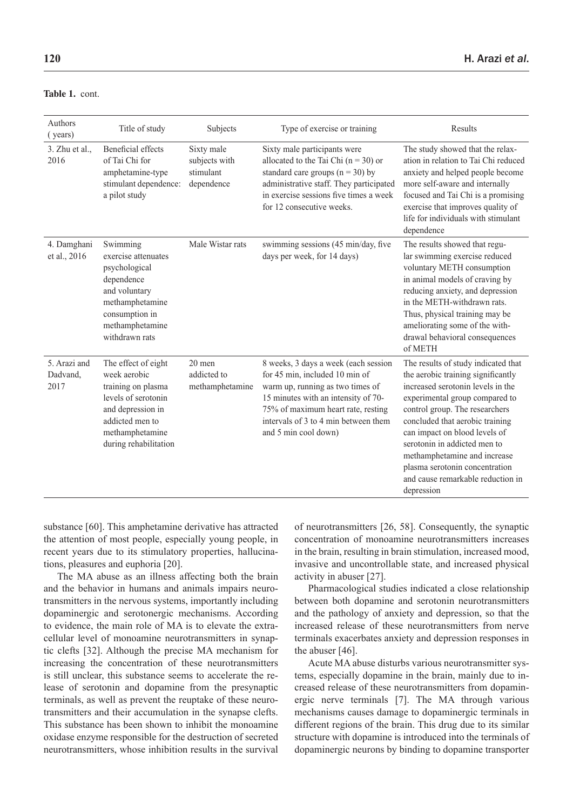| <b>Table 1. cont.</b> |
|-----------------------|
|                       |

| Authors<br>(years)               | Title of study                                                                                                                                                       | Subjects                                               | Type of exercise or training                                                                                                                                                                                                                            | Results                                                                                                                                                                                                                                                                                                                                                                                                     |
|----------------------------------|----------------------------------------------------------------------------------------------------------------------------------------------------------------------|--------------------------------------------------------|---------------------------------------------------------------------------------------------------------------------------------------------------------------------------------------------------------------------------------------------------------|-------------------------------------------------------------------------------------------------------------------------------------------------------------------------------------------------------------------------------------------------------------------------------------------------------------------------------------------------------------------------------------------------------------|
| $3.$ Zhu et al.,<br>2016         | <b>Beneficial effects</b><br>of Tai Chi for<br>amphetamine-type<br>stimulant dependence:<br>a pilot study                                                            | Sixty male<br>subjects with<br>stimulant<br>dependence | Sixty male participants were<br>allocated to the Tai Chi $(n = 30)$ or<br>standard care groups ( $n = 30$ ) by<br>administrative staff. They participated<br>in exercise sessions five times a week<br>for 12 consecutive weeks.                        | The study showed that the relax-<br>ation in relation to Tai Chi reduced<br>anxiety and helped people become<br>more self-aware and internally<br>focused and Tai Chi is a promising<br>exercise that improves quality of<br>life for individuals with stimulant<br>dependence                                                                                                                              |
| 4. Damghani<br>et al., 2016      | Swimming<br>exercise attenuates<br>psychological<br>dependence<br>and voluntary<br>methamphetamine<br>consumption in<br>methamphetamine<br>withdrawn rats            | Male Wistar rats                                       | swimming sessions (45 min/day, five<br>days per week, for 14 days)                                                                                                                                                                                      | The results showed that regu-<br>lar swimming exercise reduced<br>voluntary METH consumption<br>in animal models of craving by<br>reducing anxiety, and depression<br>in the METH-withdrawn rats.<br>Thus, physical training may be<br>ameliorating some of the with-<br>drawal behavioral consequences<br>of METH                                                                                          |
| 5. Arazi and<br>Dadvand,<br>2017 | The effect of eight<br>week aerobic<br>training on plasma<br>levels of serotonin<br>and depression in<br>addicted men to<br>methamphetamine<br>during rehabilitation | $20$ men<br>addicted to<br>methamphetamine             | 8 weeks, 3 days a week (each session<br>for 45 min, included 10 min of<br>warm up, running as two times of<br>15 minutes with an intensity of 70-<br>75% of maximum heart rate, resting<br>intervals of 3 to 4 min between them<br>and 5 min cool down) | The results of study indicated that<br>the aerobic training significantly<br>increased serotonin levels in the<br>experimental group compared to<br>control group. The researchers<br>concluded that aerobic training<br>can impact on blood levels of<br>serotonin in addicted men to<br>methamphetamine and increase<br>plasma serotonin concentration<br>and cause remarkable reduction in<br>depression |

substance [60]. This amphetamine derivative has attracted the attention of most people, especially young people, in recent years due to its stimulatory properties, hallucinations, pleasures and euphoria [20].

The MA abuse as an illness affecting both the brain and the behavior in humans and animals impairs neurotransmitters in the nervous systems, importantly including dopaminergic and serotonergic mechanisms. According to evidence, the main role of MA is to elevate the extracellular level of monoamine neurotransmitters in synaptic clefts [32]. Although the precise MA mechanism for increasing the concentration of these neurotransmitters is still unclear, this substance seems to accelerate the release of serotonin and dopamine from the presynaptic terminals, as well as prevent the reuptake of these neurotransmitters and their accumulation in the synapse clefts. This substance has been shown to inhibit the monoamine oxidase enzyme responsible for the destruction of secreted neurotransmitters, whose inhibition results in the survival of neurotransmitters [26, 58]. Consequently, the synaptic concentration of monoamine neurotransmitters increases in the brain, resulting in brain stimulation, increased mood, invasive and uncontrollable state, and increased physical activity in abuser [27].

Pharmacological studies indicated a close relationship between both dopamine and serotonin neurotransmitters and the pathology of anxiety and depression, so that the increased release of these neurotransmitters from nerve terminals exacerbates anxiety and depression responses in the abuser [46].

Acute MA abuse disturbs various neurotransmitter systems, especially dopamine in the brain, mainly due to increased release of these neurotransmitters from dopaminergic nerve terminals [7]. The MA through various mechanisms causes damage to dopaminergic terminals in different regions of the brain. This drug due to its similar structure with dopamine is introduced into the terminals of dopaminergic neurons by binding to dopamine transporter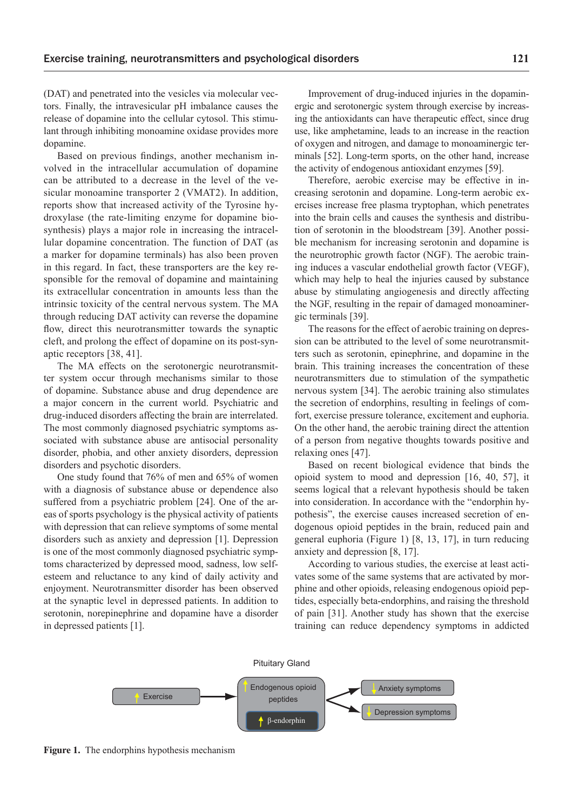(DAT) and penetrated into the vesicles via molecular vectors. Finally, the intravesicular pH imbalance causes the release of dopamine into the cellular cytosol. This stimulant through inhibiting monoamine oxidase provides more dopamine.

Based on previous findings, another mechanism involved in the intracellular accumulation of dopamine can be attributed to a decrease in the level of the vesicular monoamine transporter 2 (VMAT2). In addition, reports show that increased activity of the Tyrosine hydroxylase (the rate-limiting enzyme for dopamine biosynthesis) plays a major role in increasing the intracellular dopamine concentration. The function of DAT (as a marker for dopamine terminals) has also been proven in this regard. In fact, these transporters are the key responsible for the removal of dopamine and maintaining its extracellular concentration in amounts less than the intrinsic toxicity of the central nervous system. The MA through reducing DAT activity can reverse the dopamine flow, direct this neurotransmitter towards the synaptic cleft, and prolong the effect of dopamine on its post-synaptic receptors [38, 41].

The MA effects on the serotonergic neurotransmitter system occur through mechanisms similar to those of dopamine. Substance abuse and drug dependence are a major concern in the current world. Psychiatric and drug-induced disorders affecting the brain are interrelated. The most commonly diagnosed psychiatric symptoms associated with substance abuse are antisocial personality disorder, phobia, and other anxiety disorders, depression disorders and psychotic disorders.

One study found that 76% of men and 65% of women with a diagnosis of substance abuse or dependence also suffered from a psychiatric problem [24]. One of the areas of sports psychology is the physical activity of patients with depression that can relieve symptoms of some mental disorders such as anxiety and depression [1]. Depression is one of the most commonly diagnosed psychiatric symptoms characterized by depressed mood, sadness, low selfesteem and reluctance to any kind of daily activity and enjoyment. Neurotransmitter disorder has been observed at the synaptic level in depressed patients. In addition to serotonin, norepinephrine and dopamine have a disorder in depressed patients [1].

Improvement of drug-induced injuries in the dopaminergic and serotonergic system through exercise by increasing the antioxidants can have therapeutic effect, since drug use, like amphetamine, leads to an increase in the reaction of oxygen and nitrogen, and damage to monoaminergic terminals [52]. Long-term sports, on the other hand, increase the activity of endogenous antioxidant enzymes [59].

Therefore, aerobic exercise may be effective in increasing serotonin and dopamine. Long-term aerobic exercises increase free plasma tryptophan, which penetrates into the brain cells and causes the synthesis and distribution of serotonin in the bloodstream [39]. Another possible mechanism for increasing serotonin and dopamine is the neurotrophic growth factor (NGF). The aerobic training induces a vascular endothelial growth factor (VEGF), which may help to heal the injuries caused by substance abuse by stimulating angiogenesis and directly affecting the NGF, resulting in the repair of damaged monoaminergic terminals [39].

The reasons for the effect of aerobic training on depression can be attributed to the level of some neurotransmitters such as serotonin, epinephrine, and dopamine in the brain. This training increases the concentration of these neurotransmitters due to stimulation of the sympathetic nervous system [34]. The aerobic training also stimulates the secretion of endorphins, resulting in feelings of comfort, exercise pressure tolerance, excitement and euphoria. On the other hand, the aerobic training direct the attention of a person from negative thoughts towards positive and relaxing ones [47].

Based on recent biological evidence that binds the opioid system to mood and depression [16, 40, 57], it seems logical that a relevant hypothesis should be taken into consideration. In accordance with the "endorphin hypothesis", the exercise causes increased secretion of endogenous opioid peptides in the brain, reduced pain and general euphoria (Figure 1) [8, 13, 17], in turn reducing anxiety and depression [8, 17].

According to various studies, the exercise at least activates some of the same systems that are activated by morphine and other opioids, releasing endogenous opioid peptides, especially beta-endorphins, and raising the threshold of pain [31]. Another study has shown that the exercise training can reduce dependency symptoms in addicted



**Figure 1.** The endorphins hypothesis mechanism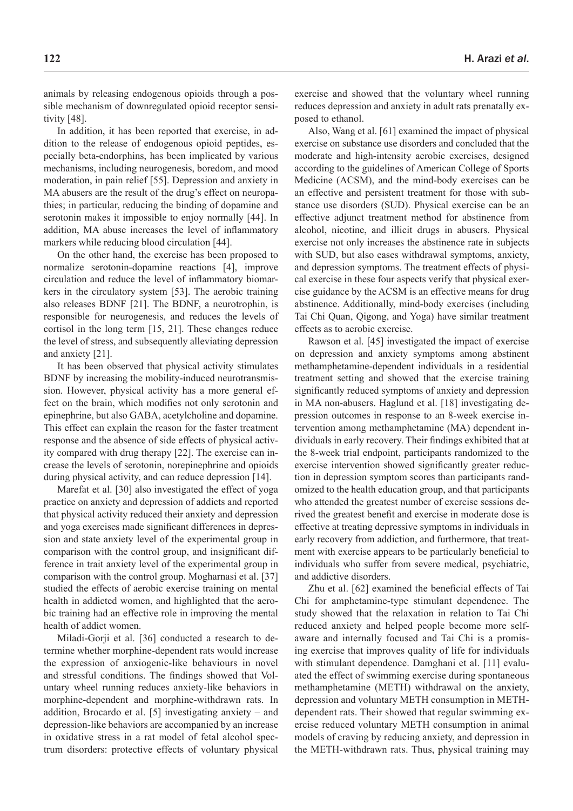animals by releasing endogenous opioids through a possible mechanism of downregulated opioid receptor sensitivity [48].

In addition, it has been reported that exercise, in addition to the release of endogenous opioid peptides, especially beta-endorphins, has been implicated by various mechanisms, including neurogenesis, boredom, and mood moderation, in pain relief [55]. Depression and anxiety in MA abusers are the result of the drug's effect on neuropathies; in particular, reducing the binding of dopamine and serotonin makes it impossible to enjoy normally [44]. In addition, MA abuse increases the level of inflammatory markers while reducing blood circulation [44].

On the other hand, the exercise has been proposed to normalize serotonin-dopamine reactions [4], improve circulation and reduce the level of inflammatory biomarkers in the circulatory system [53]. The aerobic training also releases BDNF [21]. The BDNF, a neurotrophin, is responsible for neurogenesis, and reduces the levels of cortisol in the long term [15, 21]. These changes reduce the level of stress, and subsequently alleviating depression and anxiety [21].

It has been observed that physical activity stimulates BDNF by increasing the mobility-induced neurotransmission. However, physical activity has a more general effect on the brain, which modifies not only serotonin and epinephrine, but also GABA, acetylcholine and dopamine. This effect can explain the reason for the faster treatment response and the absence of side effects of physical activity compared with drug therapy [22]. The exercise can increase the levels of serotonin, norepinephrine and opioids during physical activity, and can reduce depression [14].

Marefat et al. [30] also investigated the effect of yoga practice on anxiety and depression of addicts and reported that physical activity reduced their anxiety and depression and yoga exercises made significant differences in depression and state anxiety level of the experimental group in comparison with the control group, and insignificant difference in trait anxiety level of the experimental group in comparison with the control group. Mogharnasi et al. [37] studied the effects of aerobic exercise training on mental health in addicted women, and highlighted that the aerobic training had an effective role in improving the mental health of addict women.

Miladi-Gorji et al. [36] conducted a research to determine whether morphine-dependent rats would increase the expression of anxiogenic-like behaviours in novel and stressful conditions. The findings showed that Voluntary wheel running reduces anxiety-like behaviors in morphine-dependent and morphine-withdrawn rats. In addition, Brocardo et al. [5] investigating anxiety – and depression-like behaviors are accompanied by an increase in oxidative stress in a rat model of fetal alcohol spectrum disorders: protective effects of voluntary physical exercise and showed that the voluntary wheel running reduces depression and anxiety in adult rats prenatally exposed to ethanol.

Also, Wang et al. [61] examined the impact of physical exercise on substance use disorders and concluded that the moderate and high-intensity aerobic exercises, designed according to the guidelines of American College of Sports Medicine (ACSM), and the mind-body exercises can be an effective and persistent treatment for those with substance use disorders (SUD). Physical exercise can be an effective adjunct treatment method for abstinence from alcohol, nicotine, and illicit drugs in abusers. Physical exercise not only increases the abstinence rate in subjects with SUD, but also eases withdrawal symptoms, anxiety, and depression symptoms. The treatment effects of physical exercise in these four aspects verify that physical exercise guidance by the ACSM is an effective means for drug abstinence. Additionally, mind-body exercises (including Tai Chi Quan, Qigong, and Yoga) have similar treatment effects as to aerobic exercise.

Rawson et al. [45] investigated the impact of exercise on depression and anxiety symptoms among abstinent methamphetamine-dependent individuals in a residential treatment setting and showed that the exercise training significantly reduced symptoms of anxiety and depression in MA non-abusers. Haglund et al. [18] investigating depression outcomes in response to an 8-week exercise intervention among methamphetamine (MA) dependent individuals in early recovery. Their findings exhibited that at the 8-week trial endpoint, participants randomized to the exercise intervention showed significantly greater reduction in depression symptom scores than participants randomized to the health education group, and that participants who attended the greatest number of exercise sessions derived the greatest benefit and exercise in moderate dose is effective at treating depressive symptoms in individuals in early recovery from addiction, and furthermore, that treatment with exercise appears to be particularly beneficial to individuals who suffer from severe medical, psychiatric, and addictive disorders.

Zhu et al. [62] examined the beneficial effects of Tai Chi for amphetamine-type stimulant dependence. The study showed that the relaxation in relation to Tai Chi reduced anxiety and helped people become more selfaware and internally focused and Tai Chi is a promising exercise that improves quality of life for individuals with stimulant dependence. Damghani et al. [11] evaluated the effect of swimming exercise during spontaneous methamphetamine (METH) withdrawal on the anxiety, depression and voluntary METH consumption in METHdependent rats. Their showed that regular swimming exercise reduced voluntary METH consumption in animal models of craving by reducing anxiety, and depression in the METH-withdrawn rats. Thus, physical training may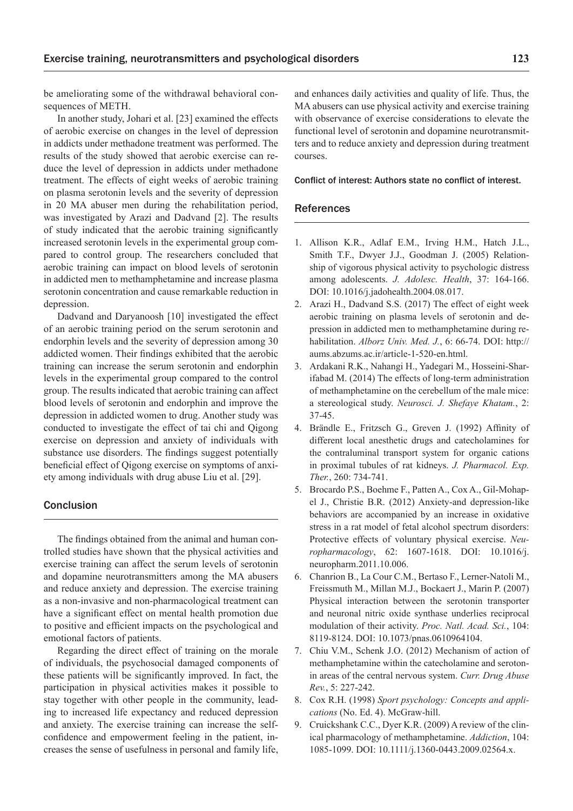be ameliorating some of the withdrawal behavioral consequences of METH.

In another study, Johari et al. [23] examined the effects of aerobic exercise on changes in the level of depression in addicts under methadone treatment was performed. The results of the study showed that aerobic exercise can reduce the level of depression in addicts under methadone treatment. The effects of eight weeks of aerobic training on plasma serotonin levels and the severity of depression in 20 MA abuser men during the rehabilitation period, was investigated by Arazi and Dadvand [2]. The results of study indicated that the aerobic training significantly increased serotonin levels in the experimental group compared to control group. The researchers concluded that aerobic training can impact on blood levels of serotonin in addicted men to methamphetamine and increase plasma serotonin concentration and cause remarkable reduction in depression.

Dadvand and Daryanoosh [10] investigated the effect of an aerobic training period on the serum serotonin and endorphin levels and the severity of depression among 30 addicted women. Their findings exhibited that the aerobic training can increase the serum serotonin and endorphin levels in the experimental group compared to the control group. The results indicated that aerobic training can affect blood levels of serotonin and endorphin and improve the depression in addicted women to drug. Another study was conducted to investigate the effect of tai chi and Qigong exercise on depression and anxiety of individuals with substance use disorders. The findings suggest potentially beneficial effect of Qigong exercise on symptoms of anxiety among individuals with drug abuse Liu et al. [29].

#### Conclusion

The findings obtained from the animal and human controlled studies have shown that the physical activities and exercise training can affect the serum levels of serotonin and dopamine neurotransmitters among the MA abusers and reduce anxiety and depression. The exercise training as a non-invasive and non-pharmacological treatment can have a significant effect on mental health promotion due to positive and efficient impacts on the psychological and emotional factors of patients.

Regarding the direct effect of training on the morale of individuals, the psychosocial damaged components of these patients will be significantly improved. In fact, the participation in physical activities makes it possible to stay together with other people in the community, leading to increased life expectancy and reduced depression and anxiety. The exercise training can increase the selfconfidence and empowerment feeling in the patient, increases the sense of usefulness in personal and family life,

and enhances daily activities and quality of life. Thus, the MA abusers can use physical activity and exercise training with observance of exercise considerations to elevate the functional level of serotonin and dopamine neurotransmitters and to reduce anxiety and depression during treatment courses.

#### Conflict of interest: Authors state no conflict of interest.

#### References

- 1. Allison K.R., Adlaf E.M., Irving H.M., Hatch J.L., Smith T.F., Dwyer J.J., Goodman J. (2005) Relationship of vigorous physical activity to psychologic distress among adolescents. *J. Adolesc. Health*, 37: 164-166. DOI: 10.1016/j.jadohealth.2004.08.017.
- 2. Arazi H., Dadvand S.S. (2017) The effect of eight week aerobic training on plasma levels of serotonin and depression in addicted men to methamphetamine during rehabilitation. *Alborz Univ. Med. J.*, 6: 66-74. DOI: http:// aums.abzums.ac.ir/article-1-520-en.html.
- 3. Ardakani R.K., Nahangi H., Yadegari M., Hosseini-Sharifabad M. (2014) The effects of long-term administration of methamphetamine on the cerebellum of the male mice: a stereological study. *Neurosci. J. Shefaye Khatam.*, 2: 37-45.
- 4. Brändle E., Fritzsch G., Greven J. (1992) Affinity of different local anesthetic drugs and catecholamines for the contraluminal transport system for organic cations in proximal tubules of rat kidneys. *J. Pharmacol. Exp. Ther.*, 260: 734-741.
- 5. Brocardo P.S., Boehme F., Patten A., Cox A., Gil-Mohapel J., Christie B.R. (2012) Anxiety-and depression-like behaviors are accompanied by an increase in oxidative stress in a rat model of fetal alcohol spectrum disorders: Protective effects of voluntary physical exercise. *Neuropharmacology*, 62: 1607-1618. DOI: 10.1016/j. neuropharm.2011.10.006.
- 6. Chanrion B., La Cour C.M., Bertaso F., Lerner-Natoli M., Freissmuth M., Millan M.J., Bockaert J., Marin P. (2007) Physical interaction between the serotonin transporter and neuronal nitric oxide synthase underlies reciprocal modulation of their activity. *Proc. Natl. Acad. Sci.*, 104: 8119-8124. DOI: 10.1073/pnas.0610964104.
- 7. Chiu V.M., Schenk J.O. (2012) Mechanism of action of methamphetamine within the catecholamine and serotonin areas of the central nervous system. *Curr. Drug Abuse Rev.*, 5: 227-242.
- 8. Cox R.H. (1998) *Sport psychology: Concepts and applications* (No. Ed. 4). McGraw-hill.
- 9. Cruickshank C.C., Dyer K.R. (2009) A review of the clinical pharmacology of methamphetamine. *Addiction*, 104: 1085-1099. DOI: 10.1111/j.1360-0443.2009.02564.x.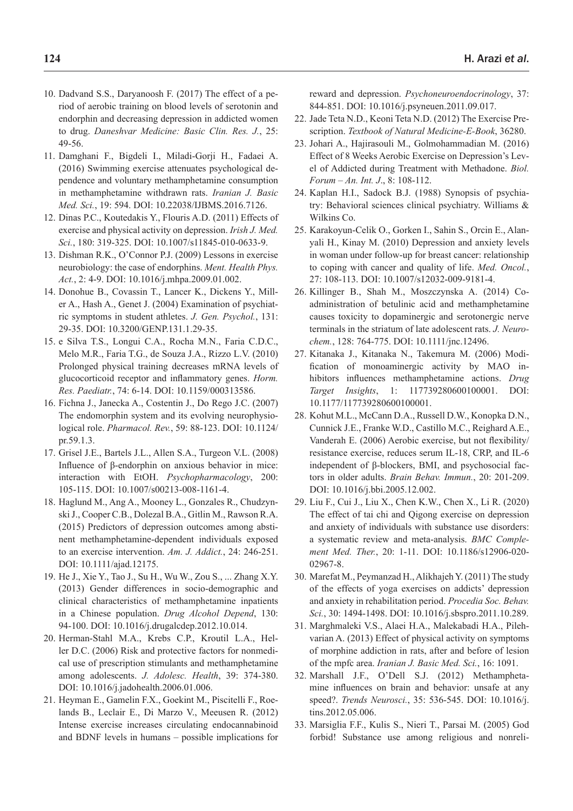- 10. Dadvand S.S., Daryanoosh F. (2017) The effect of a period of aerobic training on blood levels of serotonin and endorphin and decreasing depression in addicted women to drug. *Daneshvar Medicine: Basic Clin. Res. J.*, 25: 49-56.
- 11. Damghani F., Bigdeli I., Miladi-Gorji H., Fadaei A. (2016) Swimming exercise attenuates psychological dependence and voluntary methamphetamine consumption in methamphetamine withdrawn rats. *Iranian J. Basic Med. Sci.*, 19: 594. DOI: 10.22038/IJBMS.2016.7126.
- 12. Dinas P.C., Koutedakis Y., Flouris A.D. (2011) Effects of exercise and physical activity on depression. *Irish J. Med. Sci.*, 180: 319-325. DOI: 10.1007/s11845-010-0633-9.
- 13. Dishman R.K., O'Connor P.J. (2009) Lessons in exercise neurobiology: the case of endorphins. *Ment. Health Phys. Act.*, 2: 4-9. DOI: 10.1016/j.mhpa.2009.01.002.
- 14. Donohue B., Covassin T., Lancer K., Dickens Y., Miller A., Hash A., Genet J. (2004) Examination of psychiatric symptoms in student athletes. *J. Gen. Psychol.*, 131: 29-35. DOI: 10.3200/GENP.131.1.29-35.
- 15. e Silva T.S., Longui C.A., Rocha M.N., Faria C.D.C., Melo M.R., Faria T.G., de Souza J.A., Rizzo L.V. (2010) Prolonged physical training decreases mRNA levels of glucocorticoid receptor and inflammatory genes. *Horm. Res. Paediatr.*, 74: 6-14. DOI: 10.1159/000313586.
- 16. Fichna J., Janecka A., Costentin J., Do Rego J.C. (2007) The endomorphin system and its evolving neurophysiological role. *Pharmacol. Rev.*, 59: 88-123. DOI: 10.1124/ pr.59.1.3.
- 17. Grisel J.E., Bartels J.L., Allen S.A., Turgeon V.L. (2008) Influence of β-endorphin on anxious behavior in mice: interaction with EtOH. *Psychopharmacology*, 200: 105-115. DOI: 10.1007/s00213-008-1161-4.
- 18. Haglund M., Ang A., Mooney L., Gonzales R., Chudzynski J., Cooper C.B., Dolezal B.A., Gitlin M., Rawson R.A. (2015) Predictors of depression outcomes among abstinent methamphetamine-dependent individuals exposed to an exercise intervention. *Am. J. Addict.*, 24: 246-251. DOI: 10.1111/ajad.12175.
- 19. He J., Xie Y., Tao J., Su H., Wu W., Zou S., ... Zhang X.Y. (2013) Gender differences in socio-demographic and clinical characteristics of methamphetamine inpatients in a Chinese population. *Drug Alcohol Depend*, 130: 94-100. DOI: 10.1016/j.drugalcdep.2012.10.014.
- 20. Herman-Stahl M.A., Krebs C.P., Kroutil L.A., Heller D.C. (2006) Risk and protective factors for nonmedical use of prescription stimulants and methamphetamine among adolescents. *J. Adolesc. Health*, 39: 374-380. DOI: 10.1016/j.jadohealth.2006.01.006.
- 21. Heyman E., Gamelin F.X., Goekint M., Piscitelli F., Roelands B., Leclair E., Di Marzo V., Meeusen R. (2012) Intense exercise increases circulating endocannabinoid and BDNF levels in humans – possible implications for

reward and depression. *Psychoneuroendocrinology*, 37: 844-851. DOI: 10.1016/j.psyneuen.2011.09.017.

- 22. Jade Teta N.D., Keoni Teta N.D. (2012) The Exercise Prescription. *Textbook of Natural Medicine-E-Book*, 36280.
- 23. Johari A., Hajirasouli M., Golmohammadian M. (2016) Effect of 8 Weeks Aerobic Exercise on Depression's Level of Addicted during Treatment with Methadone. *Biol. Forum – An. Int. J*., 8: 108-112.
- 24. Kaplan H.I., Sadock B.J. (1988) Synopsis of psychiatry: Behavioral sciences clinical psychiatry. Williams & Wilkins Co.
- 25. Karakoyun-Celik O., Gorken I., Sahin S., Orcin E., Alanyali H., Kinay M. (2010) Depression and anxiety levels in woman under follow-up for breast cancer: relationship to coping with cancer and quality of life. *Med. Oncol.*, 27: 108-113. DOI: 10.1007/s12032-009-9181-4.
- 26. Killinger B., Shah M., Moszczynska A. (2014) Coadministration of betulinic acid and methamphetamine causes toxicity to dopaminergic and serotonergic nerve terminals in the striatum of late adolescent rats. *J. Neurochem.*, 128: 764-775. DOI: 10.1111/jnc.12496.
- 27. Kitanaka J., Kitanaka N., Takemura M. (2006) Modification of monoaminergic activity by MAO inhibitors influences methamphetamine actions. *Drug Target Insights*, 1: 117739280600100001. DOI: 10.1177/117739280600100001.
- 28. Kohut M.L., McCann D.A., Russell D.W., Konopka D.N., Cunnick J.E., Franke W.D., Castillo M.C., Reighard A.E., Vanderah E. (2006) Aerobic exercise, but not flexibility/ resistance exercise, reduces serum IL-18, CRP, and IL-6 independent of β-blockers, BMI, and psychosocial factors in older adults. *Brain Behav. Immun.*, 20: 201-209. DOI: 10.1016/j.bbi.2005.12.002.
- 29. Liu F., Cui J., Liu X., Chen K.W., Chen X., Li R. (2020) The effect of tai chi and Qigong exercise on depression and anxiety of individuals with substance use disorders: a systematic review and meta-analysis. *BMC Complement Med. Ther.*, 20: 1-11. DOI: 10.1186/s12906-020- 02967-8.
- 30. Marefat M., Peymanzad H., Alikhajeh Y. (2011) The study of the effects of yoga exercises on addicts' depression and anxiety in rehabilitation period. *Procedia Soc. Behav. Sci.*, 30: 1494-1498. DOI: 10.1016/j.sbspro.2011.10.289.
- 31. Marghmaleki V.S., Alaei H.A., Malekabadi H.A., Pilehvarian A. (2013) Effect of physical activity on symptoms of morphine addiction in rats, after and before of lesion of the mpfc area. *Iranian J. Basic Med. Sci.*, 16: 1091.
- 32. Marshall J.F., O'Dell S.J. (2012) Methamphetamine influences on brain and behavior: unsafe at any speed?. *Trends Neurosci.*, 35: 536-545. DOI: 10.1016/j. tins.2012.05.006.
- 33. Marsiglia F.F., Kulis S., Nieri T., Parsai M. (2005) God forbid! Substance use among religious and nonreli-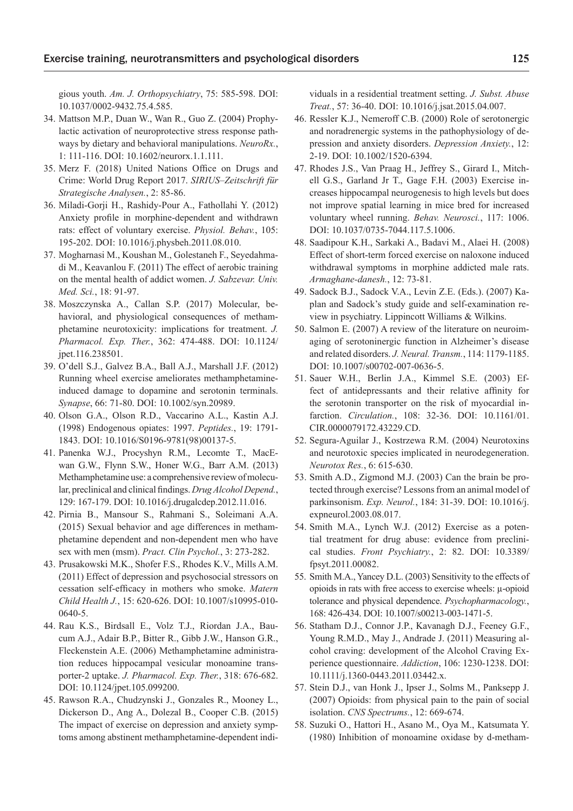gious youth. *Am. J. Orthopsychiatry*, 75: 585-598. DOI: 10.1037/0002-9432.75.4.585.

- 34. Mattson M.P., Duan W., Wan R., Guo Z. (2004) Prophylactic activation of neuroprotective stress response pathways by dietary and behavioral manipulations. *NeuroRx.*, 1: 111-116. DOI: 10.1602/neurorx.1.1.111.
- 35. Merz F. (2018) United Nations Office on Drugs and Crime: World Drug Report 2017. *SIRIUS–Zeitschrift für Strategische Analysen.*, 2: 85-86.
- 36. Miladi-Gorji H., Rashidy-Pour A., Fathollahi Y. (2012) Anxiety profile in morphine-dependent and withdrawn rats: effect of voluntary exercise. *Physiol. Behav.*, 105: 195-202. DOI: 10.1016/j.physbeh.2011.08.010.
- 37. Mogharnasi M., Koushan M., Golestaneh F., Seyedahmadi M., Keavanlou F. (2011) The effect of aerobic training on the mental health of addict women. *J. Sabzevar. Univ. Med. Sci.*, 18: 91-97.
- 38. Moszczynska A., Callan S.P. (2017) Molecular, behavioral, and physiological consequences of methamphetamine neurotoxicity: implications for treatment. *J. Pharmacol. Exp. Ther.*, 362: 474-488. DOI: 10.1124/ jpet.116.238501.
- 39. O'dell S.J., Galvez B.A., Ball A.J., Marshall J.F. (2012) Running wheel exercise ameliorates methamphetamineinduced damage to dopamine and serotonin terminals. *Synapse*, 66: 71-80. DOI: 10.1002/syn.20989.
- 40. Olson G.A., Olson R.D., Vaccarino A.L., Kastin A.J. (1998) Endogenous opiates: 1997. *Peptides.*, 19: 1791- 1843. DOI: 10.1016/S0196-9781(98)00137-5.
- 41. Panenka W.J., Procyshyn R.M., Lecomte T., MacEwan G.W., Flynn S.W., Honer W.G., Barr A.M. (2013) Methamphetamine use: a comprehensive review of molecular, preclinical and clinical findings. *Drug Alcohol Depend.*, 129: 167-179. DOI: 10.1016/j.drugalcdep.2012.11.016.
- 42. Pirnia B., Mansour S., Rahmani S., Soleimani A.A. (2015) Sexual behavior and age differences in methamphetamine dependent and non-dependent men who have sex with men (msm). *Pract. Clin Psychol.*, 3: 273-282.
- 43. Prusakowski M.K., Shofer F.S., Rhodes K.V., Mills A.M. (2011) Effect of depression and psychosocial stressors on cessation self-efficacy in mothers who smoke. *Matern Child Health J.*, 15: 620-626. DOI: 10.1007/s10995-010- 0640-5.
- 44. Rau K.S., Birdsall E., Volz T.J., Riordan J.A., Baucum A.J., Adair B.P., Bitter R., Gibb J.W., Hanson G.R., Fleckenstein A.E. (2006) Methamphetamine administration reduces hippocampal vesicular monoamine transporter-2 uptake. *J. Pharmacol. Exp. Ther.*, 318: 676-682. DOI: 10.1124/jpet.105.099200.
- 45. Rawson R.A., Chudzynski J., Gonzales R., Mooney L., Dickerson D., Ang A., Dolezal B., Cooper C.B. (2015) The impact of exercise on depression and anxiety symptoms among abstinent methamphetamine-dependent indi-

viduals in a residential treatment setting. *J. Subst. Abuse Treat.*, 57: 36-40. DOI: 10.1016/j.jsat.2015.04.007.

- 46. Ressler K.J., Nemeroff C.B. (2000) Role of serotonergic and noradrenergic systems in the pathophysiology of depression and anxiety disorders. *Depression Anxiety.*, 12: 2-19. DOI: 10.1002/1520-6394.
- 47. Rhodes J.S., Van Praag H., Jeffrey S., Girard I., Mitchell G.S., Garland Jr T., Gage F.H. (2003) Exercise increases hippocampal neurogenesis to high levels but does not improve spatial learning in mice bred for increased voluntary wheel running. *Behav. Neurosci.*, 117: 1006. DOI: 10.1037/0735-7044.117.5.1006.
- 48. Saadipour K.H., Sarkaki A., Badavi M., Alaei H. (2008) Effect of short-term forced exercise on naloxone induced withdrawal symptoms in morphine addicted male rats. *Armaghane-danesh.*, 12: 73-81.
- 49. Sadock B.J., Sadock V.A., Levin Z.E. (Eds.). (2007) Kaplan and Sadock's study guide and self-examination review in psychiatry. Lippincott Williams & Wilkins.
- 50. Salmon E. (2007) A review of the literature on neuroimaging of serotoninergic function in Alzheimer's disease and related disorders. *J. Neural. Transm.*, 114: 1179-1185. DOI: 10.1007/s00702-007-0636-5.
- 51. Sauer W.H., Berlin J.A., Kimmel S.E. (2003) Effect of antidepressants and their relative affinity for the serotonin transporter on the risk of myocardial infarction. *Circulation.*, 108: 32-36. DOI: 10.1161/01. CIR.0000079172.43229.CD.
- 52. Segura-Aguilar J., Kostrzewa R.M. (2004) Neurotoxins and neurotoxic species implicated in neurodegeneration. *Neurotox Res.*, 6: 615-630.
- 53. Smith A.D., Zigmond M.J. (2003) Can the brain be protected through exercise? Lessons from an animal model of parkinsonism. *Exp. Neurol.*, 184: 31-39. DOI: 10.1016/j. expneurol.2003.08.017.
- 54. Smith M.A., Lynch W.J. (2012) Exercise as a potential treatment for drug abuse: evidence from preclinical studies. *Front Psychiatry.*, 2: 82. DOI: 10.3389/ fpsyt.2011.00082.
- 55. Smith M.A., Yancey D.L. (2003) Sensitivity to the effects of opioids in rats with free access to exercise wheels: µ-opioid tolerance and physical dependence. *Psychopharmacology.*, 168: 426-434. DOI: 10.1007/s00213-003-1471-5.
- 56. Statham D.J., Connor J.P., Kavanagh D.J., Feeney G.F., Young R.M.D., May J., Andrade J. (2011) Measuring alcohol craving: development of the Alcohol Craving Experience questionnaire. *Addiction*, 106: 1230-1238. DOI: 10.1111/j.1360-0443.2011.03442.x.
- 57. Stein D.J., van Honk J., Ipser J., Solms M., Panksepp J. (2007) Opioids: from physical pain to the pain of social isolation. *CNS Spectrums.*, 12: 669-674.
- 58. Suzuki O., Hattori H., Asano M., Oya M., Katsumata Y. (1980) Inhibition of monoamine oxidase by d-metham-